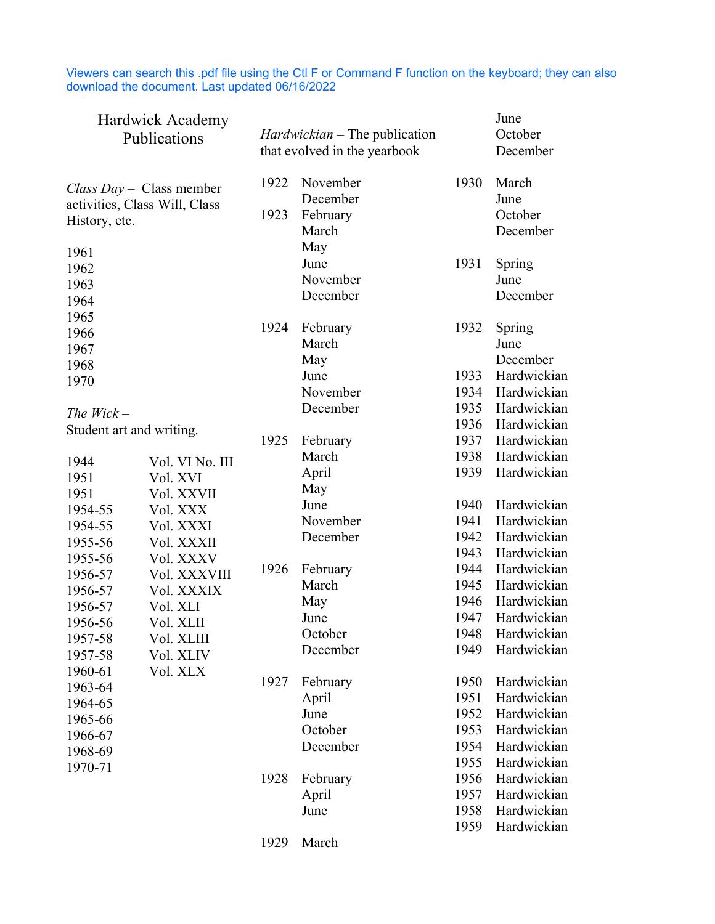Viewers can search this .pdf file using the Ctl F or Command F function on the keyboard; they can also download the document. Last updated 06/16/2022

| Hardwick Academy<br>Publications                          |                 |      | <i>Hardwickian</i> – The publication<br>that evolved in the yearbook | June<br>October<br>December |                     |
|-----------------------------------------------------------|-----------------|------|----------------------------------------------------------------------|-----------------------------|---------------------|
| Class Day – Class member<br>activities, Class Will, Class |                 | 1922 | November<br>December                                                 | 1930                        | March<br>June       |
| History, etc.                                             |                 | 1923 | February<br>March                                                    |                             | October<br>December |
| 1961                                                      |                 |      | May                                                                  |                             |                     |
| 1962                                                      |                 |      | June                                                                 | 1931                        | Spring              |
| 1963                                                      |                 |      | November                                                             |                             | June                |
| 1964                                                      |                 |      | December                                                             |                             | December            |
| 1965                                                      |                 |      |                                                                      |                             |                     |
| 1966                                                      |                 | 1924 | February                                                             | 1932                        | Spring              |
| 1967                                                      |                 |      | March                                                                |                             | June                |
| 1968                                                      |                 |      | May                                                                  |                             | December            |
| 1970                                                      |                 |      | June                                                                 | 1933                        | Hardwickian         |
|                                                           |                 |      | November                                                             | 1934                        | Hardwickian         |
| The $Wick -$                                              |                 |      | December                                                             | 1935                        | Hardwickian         |
| Student art and writing.                                  |                 |      |                                                                      | 1936                        | Hardwickian         |
|                                                           |                 | 1925 | February                                                             | 1937                        | Hardwickian         |
| 1944                                                      | Vol. VI No. III |      | March                                                                | 1938                        | Hardwickian         |
| 1951                                                      | Vol. XVI        |      | April                                                                | 1939                        | Hardwickian         |
| 1951                                                      | Vol. XXVII      |      | May                                                                  |                             |                     |
| 1954-55                                                   | Vol. XXX        |      | June                                                                 | 1940                        | Hardwickian         |
| 1954-55                                                   | Vol. XXXI       |      | November                                                             | 1941                        | Hardwickian         |
| 1955-56                                                   | Vol. XXXII      |      | December                                                             | 1942                        | Hardwickian         |
| 1955-56                                                   | Vol. XXXV       |      |                                                                      | 1943                        | Hardwickian         |
| 1956-57                                                   | Vol. XXXVIII    | 1926 | February                                                             | 1944                        | Hardwickian         |
| 1956-57                                                   | Vol. XXXIX      |      | March                                                                | 1945                        | Hardwickian         |
| 1956-57                                                   | Vol. XLI        |      | May                                                                  | 1946                        | Hardwickian         |
| 1956-56                                                   | Vol. XLII       |      | June                                                                 | 1947                        | Hardwickian         |
| 1957-58                                                   | Vol. XLIII      |      | October                                                              | 1948                        | Hardwickian         |
| 1957-58                                                   | Vol. XLIV       |      | December                                                             | 1949                        | Hardwickian         |
| 1960-61                                                   | Vol. XLX        |      |                                                                      |                             |                     |
| 1963-64                                                   |                 | 1927 | February                                                             | 1950                        | Hardwickian         |
| 1964-65                                                   |                 |      | April                                                                | 1951                        | Hardwickian         |
| 1965-66                                                   |                 |      | June                                                                 | 1952                        | Hardwickian         |
| 1966-67                                                   |                 |      | October                                                              | 1953                        | Hardwickian         |
| 1968-69                                                   |                 |      | December                                                             | 1954                        | Hardwickian         |
| 1970-71                                                   |                 |      |                                                                      | 1955                        | Hardwickian         |
|                                                           |                 | 1928 | February                                                             | 1956                        | Hardwickian         |
|                                                           |                 |      | April                                                                | 1957                        | Hardwickian         |
|                                                           |                 |      | June                                                                 | 1958                        | Hardwickian         |
|                                                           |                 |      |                                                                      | 1959                        | Hardwickian         |
|                                                           |                 | 1929 | March                                                                |                             |                     |